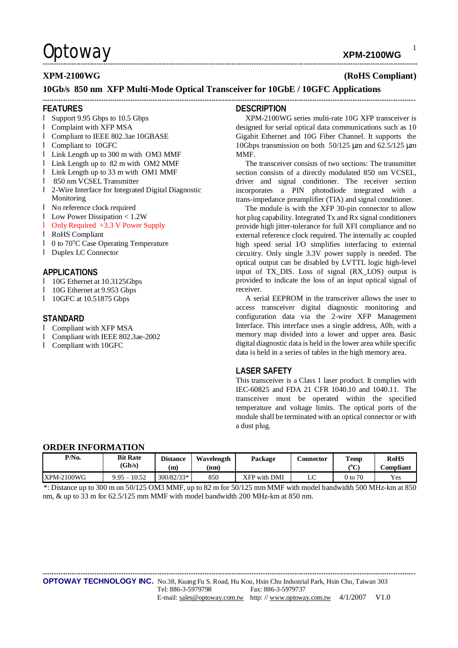**XPM-2100WG** 

## **XPM-2100WG**

### (RoHS Compliant)

 $\mathbf{1}$ 

### 10Gb/s 850 nm XFP Multi-Mode Optical Transceiver for 10GbE / 10GFC Applications

### **FFATURES**

- Support 9.95 Gbps to 10.5 Gbps
- **I** Complaint with XFP MSA
- **I** Compliant to IEEE 802.3ae 10GBASE
- **I** Compliant to 10GFC
- **I** Link Length up to 300 m with OM3 MMF
- I Link Length up to 82 m with OM2 MMF
- **I** Link Length up to 33 m with OM1 MMF
- 1 850 nm VCSEL Transmitter
- 1 2-Wire Interface for Integrated Digital Diagnostic Monitoring
- I No reference clock required
- **Low Power Dissipation < 1.2W**
- **I** Only Required  $+3.3$  V Power Supply
- **I** RoHS Compliant
- $1\quad$  0 to 70 $\degree$ C Case Operating Temperature
- **I** Duplex LC Connector

### APPLICATIONS

- 10G Ethernet at 10.3125Gbps
- $\mathbf{L}$ 10G Ethernet at 9.953 Gbps
- 1 10GFC at 10.51875 Gbps

## **STANDARD**

- **I** Compliant with XFP MSA
- Compliant with IEEE 802.3ae-2002
- **I** Compliant with 10GFC

### **DESCRIPTION**

XPM-2100WG series multi-rate 10G XFP transceiver is designed for serial optical data communications such as 10 Gigabit Ethernet and 10G Fiber Channel. It supports the 10Gbps transmission on both 50/125 µm and 62.5/125 µm **MMF** 

The transceiver consists of two sections: The transmitter section consists of a directly modulated 850 nm VCSEL, driver and signal conditioner. The receiver section incorporates a PIN photodiode integrated with a trans-impedance preamplifier (TIA) and signal conditioner.

The module is with the XFP 30-pin connector to allow hot plug capability. Integrated Tx and Rx signal conditioners provide high jitter-tolerance for full XFI compliance and no external reference clock required. The internally ac coupled high speed serial I/O simplifies interfacing to external circuitry. Only single 3.3V power supply is needed. The optical output can be disabled by LVTTL logic high-level input of TX\_DIS. Loss of signal (RX\_LOS) output is provided to indicate the loss of an input optical signal of receiver

A serial EEPROM in the transceiver allows the user to access transceiver digital diagnostic monitoring and configuration data via the 2-wire XFP Management Interface. This interface uses a single address, A0h, with a memory map divided into a lower and upper area. Basic digital diagnostic data is held in the lower area while specific data is held in a series of tables in the high memory area.

### **LASER SAFETY**

This transceiver is a Class 1 laser product. It complies with IEC-60825 and FDA 21 CFR 1040.10 and 1040.11. The transceiver must be operated within the specified temperature and voltage limits. The optical ports of the module shall be terminated with an optical connector or with a dust plug.

### **ORDER INFORMATION**

| P/N <sub>0</sub> | <b>Bit Rate</b> | <b>Distance</b> | Wavelength | Package      | <b>Connector</b> | <b>Temp</b>   | <b>RoHS</b>       |
|------------------|-----------------|-----------------|------------|--------------|------------------|---------------|-------------------|
|                  | (Gb/s)          | m               | (nm)       |              |                  | $\mathcal{C}$ | C <b>ompliant</b> |
| XPM-2100WG       | $9.95 - 10.52$  | $300/82/33*$    | 850        | XFP with DMI | $\epsilon$<br>LC | 0 to 70       | Yes               |

\*: Distance up to 300 m on 50/125 OM3 MMF, up to 82 m for 50/125 mm MMF with model bandwidth 500 MHz-km at 850 nm, & up to 33 m for  $62.5/125$  mm MMF with model bandwidth 200 MHz-km at 850 nm.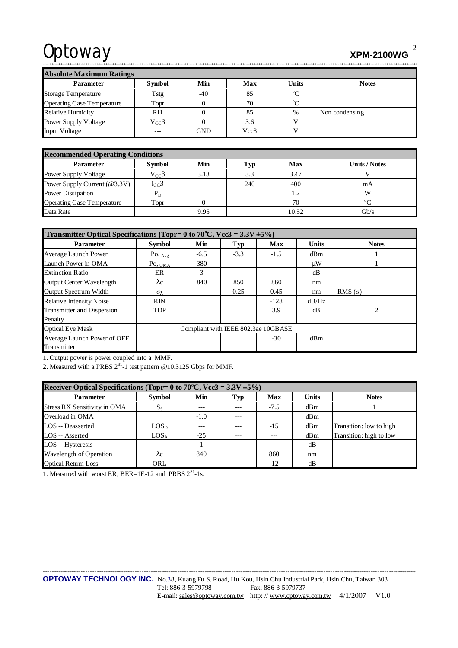**XPM-2100WG** 

**Absolute Maximum Ratings Symbol** Units Parameter Min Max **Notes**  $\overline{C}$ Tstg  $-40$ 85 Storage Temperature  $\overline{C}$ 70 **Operating Case Temperature** Topr  $\boldsymbol{0}$ Relative Humidity  $RH$  $\mathbf{0}$ 85  $\%$ Non condensing Power Supply Voltage  $V_{CC}$ 3  $\boldsymbol{0}$  $3.6$  $\overline{\mathbf{V}}$ **GND**  $\overline{\mathbf{v}}$ Input Voltage Vcc3  $---$ 

| <b>Recommended Operating Conditions</b> |               |      |      |       |                      |  |  |
|-----------------------------------------|---------------|------|------|-------|----------------------|--|--|
| <b>Parameter</b>                        | <b>Symbol</b> | Min  | .`VD | Max   | <b>Units / Notes</b> |  |  |
| <b>Power Supply Voltage</b>             | $V_{CC}$ 3    | 3.13 | 3.3  | 3.47  |                      |  |  |
| Power Supply Current (@3.3V)            | $I_{CC}$ 3    |      | 240  | 400   | mA                   |  |  |
| Power Dissipation                       | $P_D$         |      |      | 1.2   | W                    |  |  |
| <b>Operating Case Temperature</b>       | Topr          |      |      | 70    | $\sim$               |  |  |
| Data Rate                               |               | 9.95 |      | 10.52 | Gb/s                 |  |  |

| Transmitter Optical Specifications (Topr= 0 to 70 <sup>o</sup> C, Vcc3 = 3.3V $\pm$ 5%) |                                     |        |        |        |              |                |
|-----------------------------------------------------------------------------------------|-------------------------------------|--------|--------|--------|--------------|----------------|
| <b>Parameter</b>                                                                        | <b>Symbol</b>                       | Min    | Typ    | Max    | <b>Units</b> | <b>Notes</b>   |
| Average Launch Power                                                                    | $Po,_{Avg}$                         | $-6.5$ | $-3.3$ | $-1.5$ | dBm          |                |
| Launch Power in OMA                                                                     | $Po, _{OMA}$                        | 380    |        |        | μW           |                |
| <b>Extinction Ratio</b>                                                                 | ER                                  | 3      |        |        | dB           |                |
| Output Center Wavelength                                                                | $\lambda c$                         | 840    | 850    | 860    | nm           |                |
| Output Spectrum Width                                                                   | $\sigma_{\lambda}$                  |        | 0.25   | 0.45   | nm           | RMS $(σ)$      |
| <b>Relative Intensity Noise</b>                                                         | <b>RIN</b>                          |        |        | $-128$ | dB/Hz        |                |
| Transmitter and Dispersion                                                              | <b>TDP</b>                          |        |        | 3.9    | dB           | $\mathfrak{D}$ |
| Penalty                                                                                 |                                     |        |        |        |              |                |
| <b>Optical Eye Mask</b>                                                                 | Compliant with IEEE 802.3ae 10GBASE |        |        |        |              |                |
| Average Launch Power of OFF                                                             |                                     |        |        | $-30$  | dBm          |                |
| Transmitter                                                                             |                                     |        |        |        |              |                |

1. Output power is power coupled into a MMF.

2. Measured with a PRBS  $2^{31}$ -1 test pattern @10.3125 Gbps for MMF.

| Receiver Optical Specifications (Topr= 0 to 70 <sup>o</sup> C, Vcc3 = 3.3V $\pm$ 5%) |                  |        |       |            |              |                         |  |
|--------------------------------------------------------------------------------------|------------------|--------|-------|------------|--------------|-------------------------|--|
| <b>Parameter</b>                                                                     | <b>Symbol</b>    | Min    | Typ   | <b>Max</b> | <b>Units</b> | <b>Notes</b>            |  |
| <b>Stress RX Sensitivity in OMA</b>                                                  | $S_{S}$          | ---    | ---   | $-7.5$     | dBm          |                         |  |
| Overload in OMA                                                                      |                  | $-1.0$ | $---$ |            | dBm          |                         |  |
| LOS -- Deasserted                                                                    | LOS <sub>D</sub> |        |       | $-15$      | dBm          | Transition: low to high |  |
| LOS -- Asserted                                                                      | LOS <sub>A</sub> | $-25$  | $---$ | ---        | dBm          | Transition: high to low |  |
| LOS -- Hysteresis                                                                    |                  |        | $---$ |            | dB           |                         |  |
| Wavelength of Operation                                                              | λc               | 840    |       | 860        | nm           |                         |  |
| <b>Optical Return Loss</b>                                                           | ORL              |        |       | $-12$      | dB           |                         |  |

1. Measured with worst ER; BER=1E-12 and PRBS 2<sup>31</sup>-1s.

**OPTOWAY TECHNOLOGY INC.** No.38, Kuang Fu S. Road, Hu Kou, Hsin Chu Industrial Park, Hsin Chu, Taiwan 303 Tel: 886-3-5979798 Fax: 886-3-5979737 E-mail: sales@optoway.com.tw http://www.optoway.com.tw 4/1/2007 V1.0

 $\overline{2}$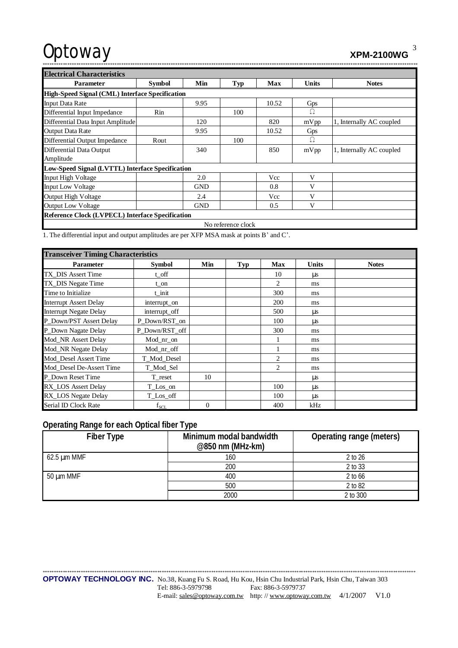| Optoway | <b>XPM-2100WG</b> |  |
|---------|-------------------|--|
|         |                   |  |

| <b>Electrical Characteristics</b>                |               |            |                    |       |              |                          |  |  |  |
|--------------------------------------------------|---------------|------------|--------------------|-------|--------------|--------------------------|--|--|--|
| <b>Parameter</b>                                 | <b>Symbol</b> | Min        | Typ                | Max   | <b>Units</b> | <b>Notes</b>             |  |  |  |
| High-Speed Signal (CML) Interface Specification  |               |            |                    |       |              |                          |  |  |  |
| <b>Input Data Rate</b>                           |               | 9.95       |                    | 10.52 | Gps          |                          |  |  |  |
| Differential Input Impedance                     | Rin           |            | 100                |       | Ω            |                          |  |  |  |
| Differential Data Input Amplitude                |               | 120        |                    | 820   | mVpp         | 1, Internally AC coupled |  |  |  |
| Output Data Rate                                 |               | 9.95       |                    | 10.52 | Gps          |                          |  |  |  |
| Differential Output Impedance                    | Rout          |            | 100                |       | Ω            |                          |  |  |  |
| Differential Data Output                         |               | 340        |                    | 850   | mVpp         | 1, Internally AC coupled |  |  |  |
| Amplitude                                        |               |            |                    |       |              |                          |  |  |  |
| Low-Speed Signal (LVTTL) Interface Specification |               |            |                    |       |              |                          |  |  |  |
| <b>Input High Voltage</b>                        |               | 2.0        |                    | Vcc   | V            |                          |  |  |  |
| <b>Input Low Voltage</b>                         |               | <b>GND</b> |                    | 0.8   | V            |                          |  |  |  |
| <b>Output High Voltage</b>                       |               | 2.4        |                    | Vcc   | V            |                          |  |  |  |
| <b>Output Low Voltage</b>                        |               | <b>GND</b> |                    | 0.5   | V            |                          |  |  |  |
| Reference Clock (LVPECL) Interface Specification |               |            |                    |       |              |                          |  |  |  |
|                                                  |               |            | No reference clock |       |              |                          |  |  |  |

1. The differential input and output amplitudes are per XFP MSA mask at points B' and C'.

| <b>Transceiver Timing Characteristics</b> |                |          |            |                |              |              |  |
|-------------------------------------------|----------------|----------|------------|----------------|--------------|--------------|--|
| <b>Parameter</b>                          | Symbol         | Min      | <b>Typ</b> | <b>Max</b>     | <b>Units</b> | <b>Notes</b> |  |
| TX_DIS Assert Time                        | t_off          |          |            | 10             | $\mu$ s      |              |  |
| TX DIS Negate Time                        | t on           |          |            | 2              | ms           |              |  |
| Time to Initialize                        | t init         |          |            | 300            | ms           |              |  |
| <b>Interrupt Assert Delay</b>             | interrupt_on   |          |            | <b>200</b>     | ms           |              |  |
| <b>Interrupt Negate Delay</b>             | interrupt_off  |          |            | 500            | μs           |              |  |
| P Down/PST Assert Delay                   | P_Down/RST_on  |          |            | 100            | <b>US</b>    |              |  |
| P_Down Nagate Delay                       | P Down/RST off |          |            | 300            | ms           |              |  |
| Mod_NR Assert Delay                       | Mod nr on      |          |            |                | ms           |              |  |
| Mod_NR Negate Delay                       | Mod_nr_off     |          |            |                | ms           |              |  |
| Mod_Desel Assert Time                     | T_Mod_Desel    |          |            | 2              | ms           |              |  |
| Mod Desel De-Assert Time                  | T_Mod_Sel      |          |            | $\mathfrak{D}$ | ms           |              |  |
| P Down Reset Time                         | T reset        | 10       |            |                | μs           |              |  |
| <b>RX_LOS</b> Assert Delay                | T_Los_on       |          |            | 100            | $\mu$ s      |              |  |
| RX_LOS Negate Delay                       | T_Los_off      |          |            | 100            | μs           |              |  |
| Serial ID Clock Rate                      | $f_{SCL}$      | $\theta$ |            | 400            | kHz          |              |  |

# **Operating Range for each Optical fiber Type**

| Fiber Type       | Minimum modal bandwidth<br>@850 nm (MHz-km) | Operating range (meters) |
|------------------|---------------------------------------------|--------------------------|
| $62.5 \mu m$ MMF | 160                                         | 2 to 26                  |
|                  | 200                                         | 2 to 33                  |
| 50 µm MMF        | 400                                         | 2 to 66                  |
|                  | 500                                         | 2 to 82                  |
|                  | 2000                                        | 2 to 300                 |

\*\*\*\*\*\*\*\*\*\*\*\*\*\*\*\*\*\*\*\*\*\*\*\*\*\*\*\*\*\*\*\*\*\*\*\*\*\*\*\*\*\*\*\*\*\*\*\*\*\*\*\*\*\*\*\*\*\*\*\*\*\*\*\*\*\*\*\*\*\*\*\*\*\*\*\*\*\*\*\*\*\*\*\*\*\*\*\*\*\*\*\*\*\*\*\*\*\*\*\*\*\*\*\*\*\*\*\*\*\*\*\*\*\*\*\*\*\*\*\*\*\*\*\*\*\*\*\*\*\*\*\*\*\*\*\*\*\*\*\*\*\*\*\*\*\*\*\*\*\*\*\*\*\*\*\*\*\*\*\*\*\*\*\*\*\* **OPTOWAY TECHNOLOGY INC.** No.38, Kuang Fu S. Road, Hu Kou, Hsin Chu Industrial Park, Hsin Chu, Taiwan 303 Tel: 886-3-5979798 Fax: 886-3-5979737 E-mail: [sales@optoway.com.tw](mailto:sales@optoway.com.tw) http://www.optoway.com.tw 4/1/2007 V1.0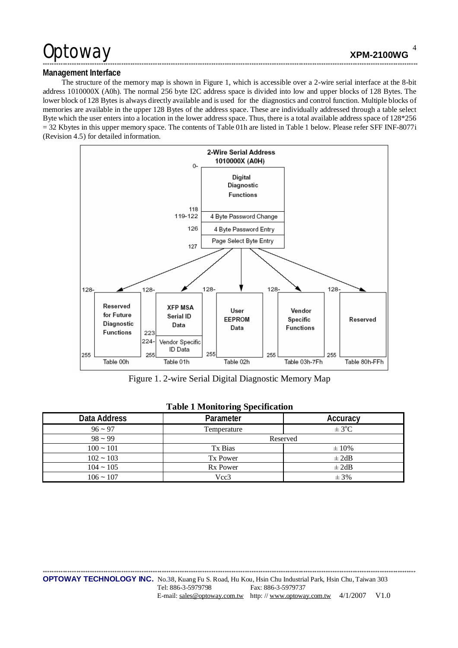## Management Interface

The structure of the memory map is shown in Figure 1, which is accessible over a 2-wire serial interface at the 8-bit address 1010000X (A0h). The normal 256 byte I2C address space is divided into low and upper blocks of 128 Bytes. The lower block of 128 Bytes is always directly available and is used for the diagnostics and control function. Multiple blocks of memories are available in the upper 128 Bytes of the address space. These are individually addressed through a table select Byte which the user enters into a location in the lower address space. Thus, there is a total available address space of 128\*256  $=$  32 Kbytes in this upper memory space. The contents of Table 01h are listed in Table 1 below. Please refer SFF INF-8077i (Revision 4.5) for detailed information.



Figure 1. 2-wire Serial Digital Diagnostic Memory Map

| Data Address | Parameter       | Accuracy   |
|--------------|-----------------|------------|
| $96 - 97$    | Temperature     | $\pm$ 3°C  |
| $98 - 99$    | Reserved        |            |
| $100 - 101$  | Tx Bias         | $\pm 10\%$ |
| $102 - 103$  | Tx Power        | $\pm 2dB$  |
| $104 - 105$  | <b>Rx Power</b> | $\pm 2dB$  |
| $106 - 107$  | Vcc3            | $± 3\%$    |

## **Table 1 Monitoring Specification**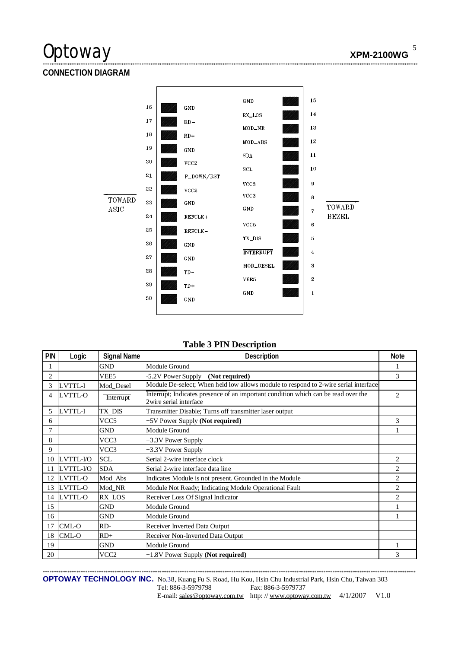**CONNECTION DIAGRAM** 



## **Table 3 PIN Description**

| PIN            | Logic          | <b>Signal Name</b> | Description                                                                                                  | <b>Note</b>    |
|----------------|----------------|--------------------|--------------------------------------------------------------------------------------------------------------|----------------|
|                |                | <b>GND</b>         | Module Ground                                                                                                |                |
| $\overline{2}$ |                | VEE5               | -5.2V Power Supply (Not required)                                                                            | 3              |
| 3              | LVTTL-I        | Mod Desel          | Module De-select; When held low allows module to respond to 2-wire serial interface                          |                |
| 4              | LVTTL-O        | Interrupt          | Interrupt; Indicates presence of an important condition which can be read over the<br>2wire serial interface | $\overline{2}$ |
| 5              | LVTTL-I        | TX_DIS             | Transmitter Disable; Turns off transmitter laser output                                                      |                |
| 6              |                | VCC <sub>5</sub>   | +5V Power Supply (Not required)                                                                              | 3              |
| $\overline{7}$ |                | <b>GND</b>         | Module Ground                                                                                                |                |
| 8              |                | VCC3               | +3.3V Power Supply                                                                                           |                |
| 9              |                | VCC3               | +3.3V Power Supply                                                                                           |                |
| 10             | LVTTL-I/O      | <b>SCL</b>         | Serial 2-wire interface clock                                                                                | 2              |
| 11             | LVTTL-I/O      | <b>SDA</b>         | Serial 2-wire interface data line                                                                            | 2              |
| 12             | LVTTL-O        | Mod Abs            | Indicates Module is not present. Grounded in the Module                                                      | 2              |
| 13             | <b>LVTTL-O</b> | Mod_NR             | Module Not Ready; Indicating Module Operational Fault                                                        | $\overline{2}$ |
| 14             | LVTTL-O        | RX_LOS             | Receiver Loss Of Signal Indicator                                                                            | $\overline{c}$ |
| 15             |                | <b>GND</b>         | Module Ground                                                                                                |                |
| 16             |                | <b>GND</b>         | Module Ground                                                                                                |                |
| 17             | CML-O          | RD-                | Receiver Inverted Data Output                                                                                |                |
| 18             | CML-O          | $RD+$              | Receiver Non-Inverted Data Output                                                                            |                |
| 19             |                | <b>GND</b>         | Module Ground                                                                                                |                |
| 20             |                | VCC <sub>2</sub>   | +1.8V Power Supply (Not required)                                                                            | 3              |

OPTOWAY TECHNOLOGY INC. No.38, Kuang Fu S. Road, Hu Kou, Hsin Chu Industrial Park, Hsin Chu, Taiwan 303 Tel: 886-3-5979798 Fax: 886-3-5979737 E-mail: sales@optoway.com.tw http://www.optoway.com.tw 4/1/2007 V1.0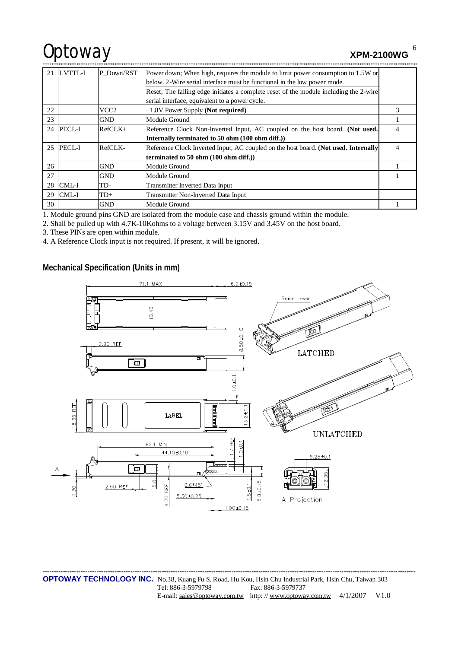**XPM-2100WG** 

|    | 21 LVTTL-I | P_Down/RST | Power down; When high, requires the module to limit power consumption to 1.5W or      |   |
|----|------------|------------|---------------------------------------------------------------------------------------|---|
|    |            |            | below. 2-Wire serial interface must be functional in the low power mode.              |   |
|    |            |            | Reset; The falling edge initiates a complete reset of the module including the 2-wire |   |
|    |            |            | serial interface, equivalent to a power cycle.                                        |   |
| 22 |            | VCC2       | +1.8V Power Supply (Not required)                                                     |   |
| 23 |            | <b>GND</b> | Module Ground                                                                         |   |
|    | 24 PECL-I  | $RefCLK+$  | Reference Clock Non-Inverted Input, AC coupled on the host board. (Not used.          | 4 |
|    |            |            | Internally terminated to 50 ohm (100 ohm diff.))                                      |   |
|    | 25 PECL-I  | RefCLK-    | Reference Clock Inverted Input, AC coupled on the host board. (Not used. Internally   | 4 |
|    |            |            | terminated to 50 ohm (100 ohm diff.))                                                 |   |
| 26 |            | <b>GND</b> | Module Ground                                                                         |   |
| 27 |            | <b>GND</b> | Module Ground                                                                         |   |
|    | $28$ CML-I | TD-        | Transmitter Inverted Data Input                                                       |   |
|    | $29$ CML-I | $TD+$      | Transmitter Non-Inverted Data Input                                                   |   |
| 30 |            | <b>GND</b> | Module Ground                                                                         |   |

1. Module ground pins GND are isolated from the module case and chassis ground within the module.

2. Shall be pulled up with 4.7K-10Kohms to a voltage between 3.15V and 3.45V on the host board.

3. These PINs are open within module.

4. A Reference Clock input is not required. If present, it will be ignored.

Mechanical Specification (Units in mm)



6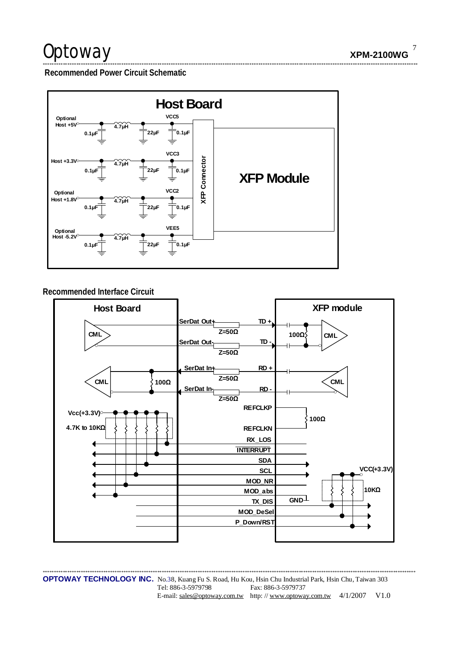$\overline{7}$ **XPM-2100WG** 

Recommended Power Circuit Schematic



## Recommended Interface Circuit



OPTOWAY TECHNOLOGY INC. No.38, Kuang Fu S. Road, Hu Kou, Hsin Chu Industrial Park, Hsin Chu, Taiwan 303 Tel: 886-3-5979798 Fax: 886-3-5979737 E-mail: sales@optoway.com.tw http://www.optoway.com.tw  $4/1/2007$  V1.0